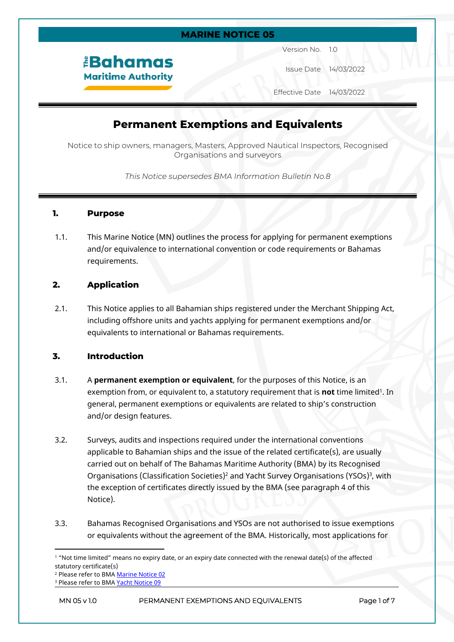# **MARINE NOTICE 05**

*<u><b>Bahamas</u>* **Maritime Authority** 

Version No. 1.0

Issue Date 14/03/2022

Effective Date 14/03/2022

# **Permanent Exemptions and Equivalents**

Notice to ship owners, managers, Masters, Approved Nautical Inspectors, Recognised Organisations and surveyors

*This Notice supersedes BMA Information Bulletin No.8*

### **1. Purpose**

1.1. This Marine Notice (MN) outlines the process for applying for permanent exemptions and/or equivalence to international convention or code requirements or Bahamas requirements.

# **2. Application**

2.1. This Notice applies to all Bahamian ships registered under the Merchant Shipping Act, including offshore units and yachts applying for permanent exemptions and/or equivalents to international or Bahamas requirements.

# **3. Introduction**

- 3.1. A **permanent exemption or equivalent**, for the purposes of this Notice, is an exemption from, or equivalent to, a statutory requirement that is **not** time limited<sup>1</sup>. In general, permanent exemptions or equivalents are related to ship's construction and/or design features.
- 3.2. Surveys, audits and inspections required under the international conventions applicable to Bahamian ships and the issue of the related certificate(s), are usually carried out on behalf of The Bahamas Maritime Authority (BMA) by its Recognised Organisations (Classification Societies)<sup>2</sup> and Yacht Survey Organisations (YSOs)<sup>3</sup>, with the exception of certificates directly issued by the BMA (see paragraph 4 of this Notice).
- 3.3. Bahamas Recognised Organisations and YSOs are not authorised to issue exemptions or equivalents without the agreement of the BMA. Historically, most applications for

<sup>1</sup> "Not time limited" means no expiry date, or an expiry date connected with the renewal date(s) of the affected statutory certificate(s)

<sup>&</sup>lt;sup>2</sup> Please refer to BMA <u>Marine Notice 02</u>

<sup>&</sup>lt;sup>3</sup> Please refer to BMA <u>Yacht Notice 09</u>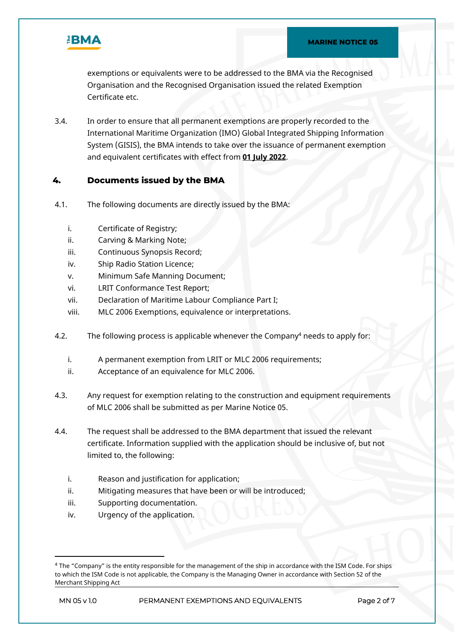

exemptions or equivalents were to be addressed to the BMA via the Recognised Organisation and the Recognised Organisation issued the related Exemption Certificate etc.

3.4. In order to ensure that all permanent exemptions are properly recorded to the International Maritime Organization (IMO) Global Integrated Shipping Information System (GISIS), the BMA intends to take over the issuance of permanent exemption and equivalent certificates with effect from **01 July 2022**.

# **4. Documents issued by the BMA**

- 4.1. The following documents are directly issued by the BMA:
	- i. Certificate of Registry;
	- ii. Carving & Marking Note;
	- iii. Continuous Synopsis Record;
	- iv. Ship Radio Station Licence;
	- v. Minimum Safe Manning Document;
	- vi. LRIT Conformance Test Report;
	- vii. Declaration of Maritime Labour Compliance Part I;
	- viii. MLC 2006 Exemptions, equivalence or interpretations.
- 4.2. The following process is applicable whenever the Company<sup>4</sup> needs to apply for:
	- i. A permanent exemption from LRIT or MLC 2006 requirements;
	- ii. Acceptance of an equivalence for MLC 2006.
- 4.3. Any request for exemption relating to the construction and equipment requirements of MLC 2006 shall be submitted as per Marine Notice 05.
- 4.4. The request shall be addressed to the BMA department that issued the relevant certificate. Information supplied with the application should be inclusive of, but not limited to, the following:
	- i. Reason and justification for application;
	- ii. Mitigating measures that have been or will be introduced;
	- iii. Supporting documentation.
	- iv. Urgency of the application.

<sup>4</sup> The "Company" is the entity responsible for the management of the ship in accordance with the ISM Code. For ships to which the ISM Code is not applicable, the Company is the Managing Owner in accordance with Section 52 of the Merchant Shipping Act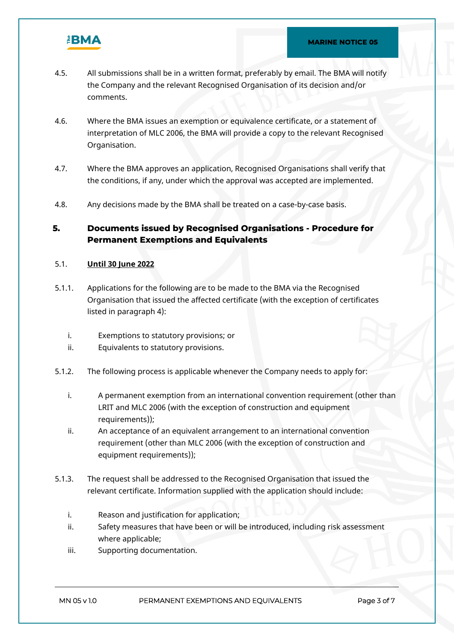

- 4.5. All submissions shall be in a written format, preferably by email. The BMA will notify the Company and the relevant Recognised Organisation of its decision and/or comments.
- 4.6. Where the BMA issues an exemption or equivalence certificate, or a statement of interpretation of MLC 2006, the BMA will provide a copy to the relevant Recognised Organisation.
- 4.7. Where the BMA approves an application, Recognised Organisations shall verify that the conditions, if any, under which the approval was accepted are implemented.
- 4.8. Any decisions made by the BMA shall be treated on a case-by-case basis.

# **5. Documents issued by Recognised Organisations - Procedure for Permanent Exemptions and Equivalents**

### 5.1. **Until 30 June 2022**

- 5.1.1. Applications for the following are to be made to the BMA via the Recognised Organisation that issued the affected certificate (with the exception of certificates listed in paragraph 4):
	- i. Exemptions to statutory provisions; or
	- ii. Equivalents to statutory provisions.
- 5.1.2. The following process is applicable whenever the Company needs to apply for:
	- i. A permanent exemption from an international convention requirement (other than LRIT and MLC 2006 (with the exception of construction and equipment requirements));
	- ii. An acceptance of an equivalent arrangement to an international convention requirement (other than MLC 2006 (with the exception of construction and equipment requirements));
- 5.1.3. The request shall be addressed to the Recognised Organisation that issued the relevant certificate. Information supplied with the application should include:
	- i. Reason and justification for application;
	- ii. Safety measures that have been or will be introduced, including risk assessment where applicable;
	- iii. Supporting documentation.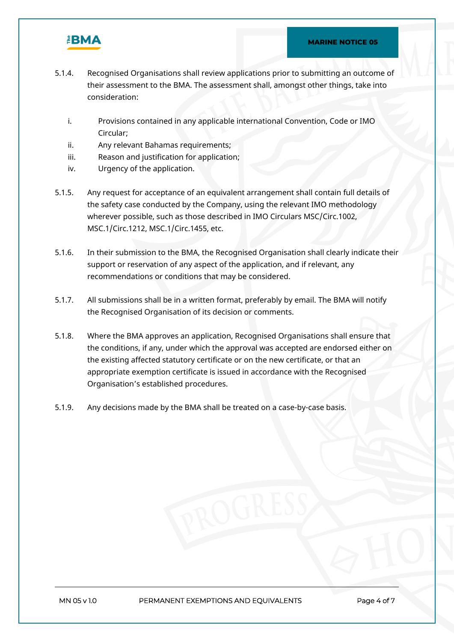

- 5.1.4. Recognised Organisations shall review applications prior to submitting an outcome of their assessment to the BMA. The assessment shall, amongst other things, take into consideration:
	- i. Provisions contained in any applicable international Convention, Code or IMO Circular;
	- ii. Any relevant Bahamas requirements;
	- iii. Reason and justification for application;
	- iv. Urgency of the application.
- 5.1.5. Any request for acceptance of an equivalent arrangement shall contain full details of the safety case conducted by the Company, using the relevant IMO methodology wherever possible, such as those described in IMO Circulars MSC/Circ.1002, MSC.1/Circ.1212, MSC.1/Circ.1455, etc.
- 5.1.6. In their submission to the BMA, the Recognised Organisation shall clearly indicate their support or reservation of any aspect of the application, and if relevant, any recommendations or conditions that may be considered.
- 5.1.7. All submissions shall be in a written format, preferably by email. The BMA will notify the Recognised Organisation of its decision or comments.
- 5.1.8. Where the BMA approves an application, Recognised Organisations shall ensure that the conditions, if any, under which the approval was accepted are endorsed either on the existing affected statutory certificate or on the new certificate, or that an appropriate exemption certificate is issued in accordance with the Recognised Organisation's established procedures.
- 5.1.9. Any decisions made by the BMA shall be treated on a case-by-case basis.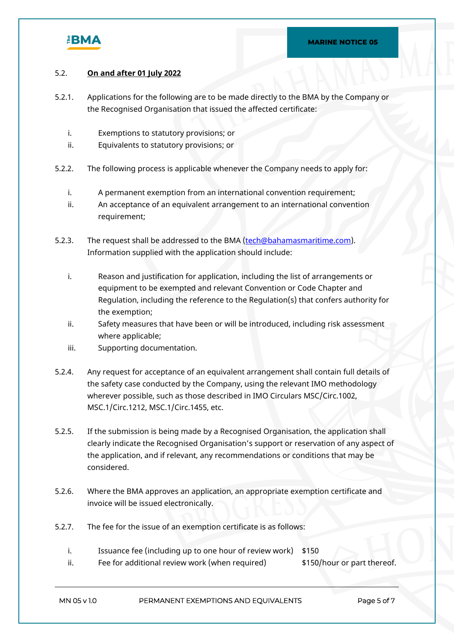

## 5.2. **On and after 01 July 2022**

- 5.2.1. Applications for the following are to be made directly to the BMA by the Company or the Recognised Organisation that issued the affected certificate:
	- i. Exemptions to statutory provisions; or
	- ii. Equivalents to statutory provisions; or
- 5.2.2. The following process is applicable whenever the Company needs to apply for:
	- i. A permanent exemption from an international convention requirement;
	- ii. An acceptance of an equivalent arrangement to an international convention requirement;
- 5.2.3. The request shall be addressed to the BMA [\(tech@bahamasmaritime.com](mailto:tech@bahamasmaritime.com)). Information supplied with the application should include:
	- i. Reason and justification for application, including the list of arrangements or equipment to be exempted and relevant Convention or Code Chapter and Regulation, including the reference to the Regulation(s) that confers authority for the exemption;
	- ii. Safety measures that have been or will be introduced, including risk assessment where applicable;
	- iii. Supporting documentation.
- 5.2.4. Any request for acceptance of an equivalent arrangement shall contain full details of the safety case conducted by the Company, using the relevant IMO methodology wherever possible, such as those described in IMO Circulars MSC/Circ.1002, MSC.1/Circ.1212, MSC.1/Circ.1455, etc.
- 5.2.5. If the submission is being made by a Recognised Organisation, the application shall clearly indicate the Recognised Organisation's support or reservation of any aspect of the application, and if relevant, any recommendations or conditions that may be considered.
- 5.2.6. Where the BMA approves an application, an appropriate exemption certificate and invoice will be issued electronically.
- 5.2.7. The fee for the issue of an exemption certificate is as follows:
	- i. Issuance fee (including up to one hour of review work) \$150
	- ii. Fee for additional review work (when required)  $$150/hour or part thereof.$

**MN 05 v 1.0 PERMANENT EXEMPTIONS AND EQUIVALENTS Page 5 of 7**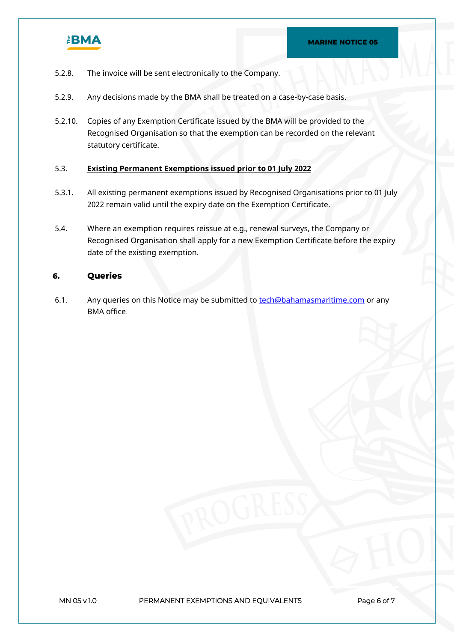

- 5.2.8. The invoice will be sent electronically to the Company.
- 5.2.9. Any decisions made by the BMA shall be treated on a case-by-case basis.
- 5.2.10. Copies of any Exemption Certificate issued by the BMA will be provided to the Recognised Organisation so that the exemption can be recorded on the relevant statutory certificate.

#### 5.3. **Existing Permanent Exemptions issued prior to 01 July 2022**

- 5.3.1. All existing permanent exemptions issued by Recognised Organisations prior to 01 July 2022 remain valid until the expiry date on the Exemption Certificate.
- 5.4. Where an exemption requires reissue at e.g., renewal surveys, the Company or Recognised Organisation shall apply for a new Exemption Certificate before the expiry date of the existing exemption.

#### **6. Queries**

6.1. Any queries on this Notice may be submitted to [tech@bahamasmaritime.com](mailto:tech@bahamasmaritime.com) or any BMA office.